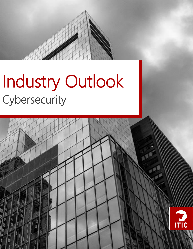# Industry Outlook Cybersecurity<br>——————————————————— **Cybersecurity**



Cybersecurity Industry Outlook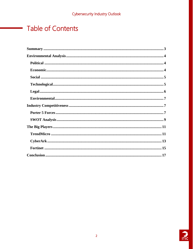# <span id="page-1-0"></span>**Table of Contents**

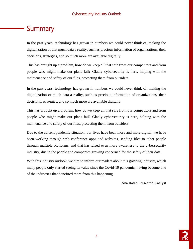# **Summary**

In the past years, technology has grown in numbers we could never think of, making the digitalization of that much data a reality, such as precious information of organizations, their decisions, strategies, and so much more are available digitally.

This has brought up a problem, how do we keep all that safe from our competitors and from people who might make our plans fail? Gladly cybersecurity is here, helping with the maintenance and safety of our files, protecting them from outsiders.

In the past years, technology has grown in numbers we could never think of, making the digitalization of much data a reality, such as precious information of organizations, their decisions, strategies, and so much more are available digitally.

This has brought up a problem, how do we keep all that safe from our competitors and from people who might make our plans fail? Gladly cybersecurity is here, helping with the maintenance and safety of our files, protecting them from outsiders.

Due to the current pandemic situation, our lives have been more and more digital, we have been working through web conference apps and websites, sending files to other people through multiple platforms, and that has raised even more awareness to the cybersecurity industry, due to the people and companies growing concerned for the safety of their data.

With this industry outlook, we aim to inform our readers about this growing industry, which many people only started seeing its value since the Covid-19 pandemic, having become one of the industries that benefited more from this happening.

Ana Ratão, Research Analyst

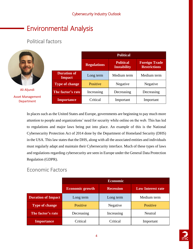# Environmental Analysis

# <span id="page-3-0"></span>Political factors

|                                       |                                     | <b>Political</b>   |                                        |                                             |
|---------------------------------------|-------------------------------------|--------------------|----------------------------------------|---------------------------------------------|
|                                       |                                     | <b>Regulations</b> | <b>Political</b><br><b>Instability</b> | <b>Foreign Trade</b><br><b>Restrictions</b> |
|                                       | <b>Duration of</b><br><b>Impact</b> | Long term          | Medium term                            | Medium term                                 |
|                                       | <b>Type of change</b>               | Positive           | Negative                               | Negative                                    |
| Ali Aljundi                           | The factor's rate                   | Increasing         | Decreasing                             | Decreasing                                  |
| <b>Asset Management</b><br>Department | <b>Importance</b>                   | Critical           | Important                              | Important                                   |

In places such as the United States and Europe, governments are beginning to pay much more attention to people and organizations' need for security while online on the web. This has led to regulations and major laws being put into place. An example of this is the National Cybersecurity Protection Act of 2014 done by the Department of Homeland Security (DHS) in the USA. This law states that the DHS, along with all the associated entities and individuals must regularly adapt and maintain their Cybersecurity interface. Much of these types of laws and regulations regarding cybersecurity are seen in Europe under the General Data Protection Regulation (GDPR).

# <span id="page-3-1"></span>Economic Factors

|                           | <b>Economic</b>        |                  |                          |  |
|---------------------------|------------------------|------------------|--------------------------|--|
|                           | <b>Economic growth</b> | <b>Recession</b> | <b>Low Interest rate</b> |  |
| <b>Duration of Impact</b> | Long term              | Long term        | Medium term              |  |
| <b>Type of change</b>     | Positive               | Negative         | Positive                 |  |
| The factor's rate         | Decreasing             | Increasing       | Neutral                  |  |
| <b>Importance</b>         | Critical               | Critical         | Important                |  |

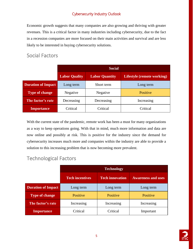Economic growth suggests that many companies are also growing and thriving with greater revenues. This is a critical factor in many industries including cybersecurity, due to the fact in a recession companies are more focused on their main activities and survival and are less likely to be interested in buying cybersecurity solutions.

## Social Factors

|                           | <b>Social</b>        |                       |                            |  |
|---------------------------|----------------------|-----------------------|----------------------------|--|
|                           | <b>Labor Quality</b> | <b>Labor Quantity</b> | Lifestyle (remote working) |  |
| <b>Duration of Impact</b> | Long term            | Short term            | Long term                  |  |
| <b>Type of change</b>     | Negative             | Negative              | Positive                   |  |
| The factor's rate         | Decreasing           | Decreasing            | Increasing                 |  |
| <b>Importance</b>         | Critical             | Critical              | Critical                   |  |

With the current state of the pandemic, remote work has been a must for many organizations as a way to keep operations going. With that in mind, much more information and data are now online and possibly at risk. This is positive for the industry since the demand for cybersecurity increases much more and companies within the industry are able to provide a solution to this increasing problem that is now becoming more prevalent.

# <span id="page-4-0"></span>Technological Factors

|                           | <b>Technology</b>      |                        |                           |  |
|---------------------------|------------------------|------------------------|---------------------------|--|
|                           | <b>Tech incentives</b> | <b>Tech innovation</b> | <b>Awareness and uses</b> |  |
| <b>Duration of Impact</b> | Long term              | Long term              | Long term                 |  |
| <b>Type of change</b>     | Positive               | Positive               | Positive                  |  |
| The factor's rate         | Increasing             | Increasing             | Increasing                |  |
| <b>Importance</b>         | Critical               | Critical               | Important                 |  |

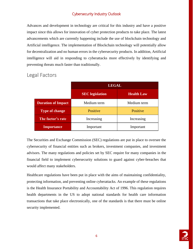Advances and development in technology are critical for this industry and have a positive impact since this allows for innovation of cyber protection products to take place. The latest advancements which are currently happening include the use of blockchain technology and Artificial intelligence. The implementation of Blockchain technology will potentially allow for decentralization and no human errors in the cybersecurity products. In addition, Artificial intelligence will aid in responding to cyberattacks more effectively by identifying and preventing threats much faster than traditionally.

|                           | <b>LEGAL</b>           |                   |  |
|---------------------------|------------------------|-------------------|--|
|                           | <b>SEC</b> legislation | <b>Health Law</b> |  |
| <b>Duration of Impact</b> | Medium term            | Medium term       |  |
| Type of change            | Positive               | Positive          |  |
| The factor's rate         | Increasing             | Increasing        |  |
| <b>Importance</b>         | Important              | Important         |  |

### <span id="page-5-0"></span>Legal Factors

The Securities and Exchange Commission (SEC) regulations are put in place to oversee the cybersecurity of financial entities such as brokers, investment companies, and investment advisors. The many regulations and policies set by SEC require for many companies in the financial field to implement cybersecurity solutions to guard against cyber-breaches that would affect many stakeholders.

Healthcare regulations have been put in place with the aims of maintaining confidentiality, protecting information, and preventing online cyberattacks. An example of these regulations is the Health Insurance Portability and Accountability Act of 1996. This regulation requires health departments in the US to adopt national standards for health care information transactions that take place electronically, one of the standards is that there must be online security implemented.

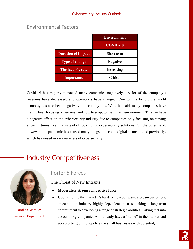### <span id="page-6-0"></span>Environmental Factors

|                           | <b>Environment</b> |  |  |
|---------------------------|--------------------|--|--|
|                           | $COV$ ID-19        |  |  |
| <b>Duration of Impact</b> | Short term         |  |  |
| <b>Type of change</b>     | Negative           |  |  |
| The factor's rate         | Increasing         |  |  |
| <b>Importance</b>         | Critical           |  |  |

Covid-19 has majorly impacted many companies negatively. A lot of the company's revenues have decreased, and operations have changed. Due to this factor, the world economy has also been negatively impacted by this. With that said, many companies have mainly been focusing on survival and how to adapt to the current environment. This can have a negative effect on the cybersecurity industry due to companies only focusing on staying afloat in times like this instead of looking for cybersecurity solutions. On the other hand, however, this pandemic has caused many things to become digital as mentioned previously, which has raised more awareness of cybersecurity.

# Industry Competitiveness



Carolina Marques Research Department

### Porter 5 Forces

#### The Threat of New Entrants

- **Moderately strong competitive force;**
- Upon entering the market it's hard for new companies to gain customers, since it's an industry highly dependent on trust, taking a long-term commitment to developing a range of strategic abilities. Taking that into account, big companies who already have a "name" in the market end up absorbing or monopolize the small businesses with potential;

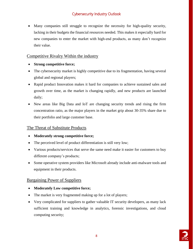Many companies still struggle to recognize the necessity for high-quality security, lacking in their budgets the financial resources needed. This makes it especially hard for new companies to enter the market with high-end products, as many don't recognize their value.

#### Competitive Rivalry Within the industry

- **Strong competitive force;**
- The cybersecurity market is highly competitive due to its fragmentation, having several global and regional players;
- Rapid product Innovation makes it hard for companies to achieve sustained sales and growth over time, as the market is changing rapidly, and new products are launched daily;
- New areas like Big Data and IoT are changing security trends and rising the firm concentration ratio, as the major players in the market grip about 30-35% share due to their portfolio and large customer base.

#### The Threat of Substitute Products

- **Moderately strong competitive force;**
- The perceived level of product differentiation is still very low;
- Various products/services that serve the same need make it easier for customers to buy different company's products;
- Some operative system providers like Microsoft already include anti-malware tools and equipment in their products.

#### Bargaining Power of Suppliers

- **Moderately Low competitive force;**
- The market is very fragmented making up for a lot of players;
- Very complicated for suppliers to gather valuable IT security developers, as many lack sufficient training and knowledge in analytics, forensic investigations, and cloud computing security;

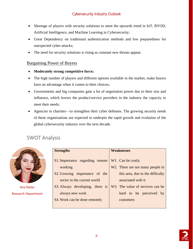- Shortage of players with security solutions to meet the upwards trend in IoT, BYOD, Artificial Intelligence, and Machine Learning in Cybersecurity;
- Great Dependency on traditional authentication methods and low preparedness for unexpected cyber-attacks;
- The need for security solutions is rising as constant new threats appear.

#### Bargaining Power of Buyers

- **Moderately strong competitive force;**
- The high number of players and different options available in the market, make buyers have an advantage when it comes to their choices;
- Governments and big companies gain a lot of negotiation power due to their size and influence, which lowers the product/service providers in the industry the capacity to meet their needs;
- Agencies to charities—to strengthen their cyber defenses. The growing security needs of these organizations are expected to underpin the rapid growth and evolution of the global cybersecurity industry over the next decade.

## <span id="page-8-0"></span>SWOT Analysis



Ana Ratāo Research Department

| <b>Strengths</b>                           | <b>Weaknesses</b>                                                  |  |
|--------------------------------------------|--------------------------------------------------------------------|--|
| S1. Importance regarding remote<br>working | W <sub>1</sub> . Can be costly<br>W2. There are not many people in |  |
| S2. Growing importance of the              | this area, due to the difficulty                                   |  |
| sector in the current world                | associated with it                                                 |  |
| S3. Always developing, there is            | W <sub>3</sub> . The value of services can be                      |  |
| always new work                            | hard to be perceived by                                            |  |
| S4. Work can be done remotely              | customers                                                          |  |
|                                            |                                                                    |  |

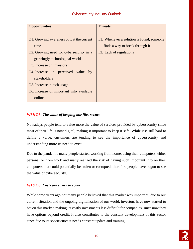| <b>Opportunities</b>                       | <b>Threats</b>                            |
|--------------------------------------------|-------------------------------------------|
|                                            |                                           |
| O1. Growing awareness of it at the current | T1. Whenever a solution is found, someone |
| time                                       | finds a way to break through it           |
| O2. Growing need for cybersecurity in a    | T <sub>2</sub> . Lack of regulations      |
| growingly technological world              |                                           |
| O <sub>3</sub> . Increase on investors     |                                           |
| O4. Increase in perceived value by         |                                           |
| stakeholders                               |                                           |
| O5. Increase in tech usage                 |                                           |
| O6. Increase of important info available   |                                           |
| online                                     |                                           |

#### **W3&O6:** *The value of keeping our files secure*

Nowadays people tend to value more the value of services provided by cybersecurity since most of their life is now digital, making it important to keep it safe. While it is still hard to define a value, customers are tending to see the importance of cybersecurity and understanding more its need to exist.

Due to the pandemic many people started working from home, using their computers, either personal or from work and many realized the risk of having such important info on their computers that could potentially be stolen or corrupted, therefore people have begun to see the value of cybersecurity.

#### **W1&O3:** *Costs are easier to cover*

While some years ago not many people believed that this market was important, due to our current situation and the ongoing digitalization of our world, investors have now started to bet on this market, making its costly investments less difficult for companies, since now they have options beyond credit. It also contributes to the constant development of this sector since due to its specificities it needs constant update and training.

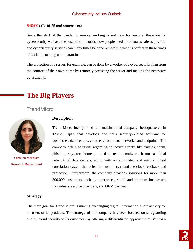#### **S4&O1:** *Covid-19 and remote work*

Since the start of the pandemic remote working is not new for anyone, therefore for cybersecurity we have the best of both worlds, now people need their data as safe as possible and cybersecurity services can many times be done remotely, which is perfect in these times of social distancing and quarantine.

The protection of a server, for example, can be done by a worker of a cybersecurity firm from the comfort of their own home by remotely accessing the server and making the necessary adjustments.

# **The Big Players**

## **TrendMicro**



Carolina Marques Research Department

#### **Description**

Trend Micro Incorporated is a multinational company, headquartered in Tokyo, Japan that develops and sells security-related software for businesses, data centers, cloud environments, networks, and endpoints. The company offers solutions regarding collective attacks like viruses, spam, phishing, spyware, botnets, and data-stealing malware. It runs a global network of data centers, along with an automated and manual threat correlation system that offers its customers round-the-clock feedback and protection. Furthermore, the company provides solutions for more than 500,000 customers such as enterprises, small and medium businesses, individuals, service providers, and OEM partners.

#### **Strategy**

The main goal for Trend Micro is making exchanging digital information a safe activity for all users of its products. The strategy of the company has been focused on safeguarding quality cloud security to its customers by offering a differentiated approach that is" cross-

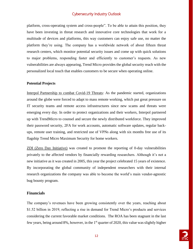platform, cross-operating system and cross-people". To be able to attain this position, they have been investing in threat research and innovative core technologies that work for a multitude of devices and platforms, this way customers can enjoy safe use, no matter the platform they're using. The company has a worldwide network of about fifteen threat research centers, which monitor potential security issues and come up with quick solutions to major problems, responding faster and efficiently to customer's requests. As new vulnerabilities are always appearing, Trend Micro provides the global security reach with the personalized local touch that enables customers to be secure when operating online.

#### **Potential Projects**

Interpol Partnership to combat Covid-19 Threats: As the pandemic started, organizations around the globe were forced to adapt to mass remote working, which put great pressure on IT security teams and remote access infrastructures since new scams and threats were emerging every day. In order to protect organizations and their workers, Interpol partnered up with TrendMicro to counsel and secure the newly distributed workforce. They improved their password security, 2FA for work accounts, automatic software updates, regular backups, remote user training, and restricted use of VPNs along with six months free use of its flagship Trend Micro Maximum Security for home workers.

ZDI (Zero Day Initiative) was created to promote the reporting of 0-day vulnerabilities privately to the affected vendors by financially rewarding researchers. Although it's not a new initiative as it was created in 2005, this year the project celebrated 15 years of existence. By incorporating the global community of independent researchers with their internal research organizations the company was able to become the world's main vendor-agnostic bug bounty program.

#### **Financials**

The company's revenues have been growing consistently over the years, reaching about \$1.52 billion in 2019, reflecting a rise in demand for Trend Micro's products and services considering the current favorable market conditions. The ROA has been stagnant in the last few years, being around 8%, however, in the 1<sup>st</sup> quarter of 2020, this value was slightly higher

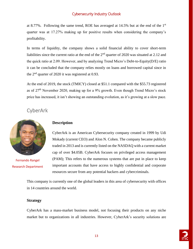at 8.77%. Following the same trend, ROE has averaged at 14.5% but at the end of the  $1<sup>st</sup>$ quarter was at 17.27% making up for positive results when considering the company's profitability.

In terms of liquidity, the company shows a solid financial ability to cover short-term liabilities since the current ratio at the end of the  $2<sup>nd</sup>$  quarter of 2020 was situated at 2.12 and the quick ratio at 2.09. However, and by analyzing Trend Micro's Debt-to-Equity(D/E) ratio it can be concluded that the company relies mostly on loans and borrowed capital since in the 2nd quarter of 2020 it was registered at 0.93.

At the end of 2019, the stock (TMICY) closed at \$51.1 compared with the \$55.73 registered as of 27<sup>th</sup> November 2020, making up for a 9% growth. Even though Trend Micro's stock price has increased, it isn't showing an outstanding evolution, as it's growing at a slow pace.

### CyberArk



Fernando Rangel Research Department

#### **Description**

CyberArk is an American Cybersecurity company created in 1999 by Udi Mokady (current CEO) and Alon N. Cohen. The company became publicly traded in 2013 and is currently listed on the NASDAQ with a current market cap of over \$4.05B. CyberArk focuses on privileged access management (PAM); This refers to the numerous systems that are put in place to keep important accounts that have access to highly confidential and corporate resources secure from any potential hackers and cybercriminals.

This company is currently one of the global leaders in this area of cybersecurity with offices in 14 countries around the world.

#### **Strategy**

CyberArk has a mass-market business model, not focusing their products on any niche market but to organizations in all industries. However, CyberArk's security solutions are

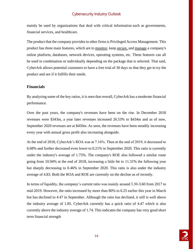mainly be used by organizations that deal with critical information such as governments, financial services, and healthcare.

The product that the company provides to other firms is Privileged Access Management. This product has three main features, which are to monitor, keep secure, and manage a company's online platform, databases, network devices, operating systems, etc. These features can all be used in combination or individually depending on the package that is selected. That said, CyberArk allows potential customers to have a free trial of 30 days so that they get to try the product and see if it fulfills their needs.

#### **Financials**

By analyzing some of the key ratios, it is seen that overall, CyberArk has a moderate financial performance.

Over the past years, the company's revenues have been on the rise. In December 2018 revenues were \$343m, a year later revenues increased 26.53% to \$434m and as of now, September 2020 revenues are at \$450m. As seen, the revenues have been steadily increasing every year with annual gross profit also increasing alongside.

At the end of 2018, CyberArk's ROA was at 7.16%. Then at the end of 2019, it decreased to 6.68% and further decreased even lower to 0.21% in September 2020. This ratio is currently under the industry's average of 1.75%. The company's ROE also followed a similar route going from 10.94% at the end of 2018, increasing a little bit to 11.31% the following year but sharply decreasing to 0.46% in September 2020. This ratio is also under the industry average of 4.83. Both the ROA and ROE are currently on the decline as of recently.

In terms of liquidity, the company's current ratio was mainly around 3.30-3.60 from 2017 to mid-2019. However, the ratio increased by more than 80% to 6.25 earlier this year in March but has declined to 4.47 in September. Although the ratio has declined, it still is well above the industry average of 1.85. CyberArk currently has a quick ratio of 4.47 which is also currently above the industry average of 1.74. This indicates the company has very good short term financial strength

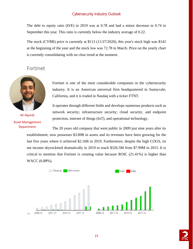The debt to equity ratio (D/E) in 2019 was at 0.78 and had a minor decrease to 0.74 in September this year. This ratio is currently below the industry average of 0.22.

The stock (CYBR) price is currently at \$113 (11/27/2020), this year's stock high was \$142 at the beginning of the year and the stock low was 72.78 in March. Price on the yearly chart is currently consolidating with no clear trend at the moment.

### Fortinet



Ali Aljundi Asset Management Department

Fortinet is one of the most considerable companies in the cybersecurity industry. It is an American universal firm headquartered in Sunnyvale, California, and it is traded in Nasdaq with a ticker FTNT.

It operates through different fields and develops numerous products such as network security; infrastructure security; cloud security; and endpoint protection, internet of things (IoT), and operational technology.

The 20 years old company that went public in 2009 just nine years after its establishment, now possesses \$3.89B in assets and its revenues have been growing for the last five years where it achieved \$2.16B in 2019. Furthermore, despite the high COGS, its net income skyrocketed dramatically in 2019 to reach \$326.5M from \$7.99M in 2015. It is critical to mention that Fortinet is creating value because ROIC  $(21.41\%)$  is higher than WACC (6.88%).



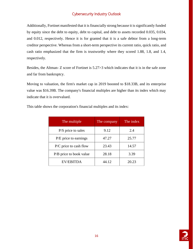Additionally, Fortinet manifested that it is financially strong because it is significantly funded by equity since the debt to equity, debt to capital, and debt to assets recorded 0.035, 0.034, and 0.012, respectively. Hence it is for granted that it is a safe debtor from a long-term creditor perspective. Whereas from a short-term perspective its current ratio, quick ratio, and cash ratio emphasized that the firm is trustworthy where they scored 1.88, 1.8, and 1.4, respectively.

Besides, the Altman- Z score of Fortinet is 5.27>3 which indicates that it is in the safe zone and far from bankruptcy.

Moving to valuation, the firm's market cap in 2019 boosted to \$18.33B, and its enterprise value was \$16.39B. The company's financial multiples are higher than its index which may indicate that it is overvalued.

| The multiple             | The company | The index |
|--------------------------|-------------|-----------|
| P/S price to sales       | 9.12        | 2.4       |
| P/E price to earnings    | 47.27       | 25.77     |
| $P/C$ price to cash flow | 23.43       | 14.57     |
| P/B price to book value  | 28.18       | 3.39      |
| <b>EV/EBITDA</b>         | 44.12       | 20.23     |

This table shows the corporation's financial multiples and its index:

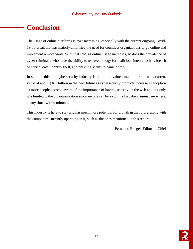# **Conclusion**

The usage of online platforms is ever increasing, especially with the current ongoing Covid-19 outbreak that has majorly amplified the need for countless organizations to go online and implement remote work. With that said, as online usage increases, so does the prevalence of cyber criminals, who have the ability to use technology for malicious intent; such as breach of critical data, Identity theft, and phishing scams to name a few.

In spite of this, the cybersecurity industry is due to be valued much more than its current value of about \$161 billion in the near future as cybersecurity products increase in adoption as more people become aware of the importance of having security on the web and not only it is limited to the big organization since anyone can be a victim of a cybercriminal anywhere, at any time, within minutes.

This industry is here to stay and has much more potential for growth in the future. along with the companies currently operating in it, such as the ones mentioned in this report.

Fernando Rangel, Editor-in-Chief